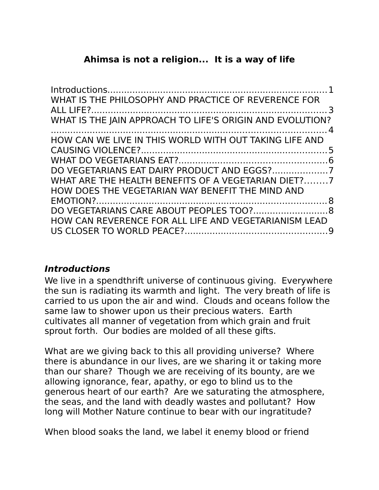# **Ahimsa is not a religion... It is a way of life**

| WHAT IS THE PHILOSOPHY AND PRACTICE OF REVERENCE FOR<br>WHAT IS THE JAIN APPROACH TO LIFE'S ORIGIN AND EVOLUTION? |  |
|-------------------------------------------------------------------------------------------------------------------|--|
|                                                                                                                   |  |
| HOW CAN WE LIVE IN THIS WORLD WITH OUT TAKING LIFE AND                                                            |  |
|                                                                                                                   |  |
|                                                                                                                   |  |
|                                                                                                                   |  |
| WHAT ARE THE HEALTH BENEFITS OF A VEGETARIAN DIET?7                                                               |  |
| HOW DOES THE VEGETARIAN WAY BENEFIT THE MIND AND                                                                  |  |
|                                                                                                                   |  |
|                                                                                                                   |  |
| HOW CAN REVERENCE FOR ALL LIFE AND VEGETARIANISM LEAD                                                             |  |
|                                                                                                                   |  |
|                                                                                                                   |  |

# <span id="page-0-0"></span>**Introductions**

We live in a spendthrift universe of continuous giving. Everywhere the sun is radiating its warmth and light. The very breath of life is carried to us upon the air and wind. Clouds and oceans follow the same law to shower upon us their precious waters. Earth cultivates all manner of vegetation from which grain and fruit sprout forth. Our bodies are molded of all these gifts.

What are we giving back to this all providing universe? Where there is abundance in our lives, are we sharing it or taking more than our share? Though we are receiving of its bounty, are we allowing ignorance, fear, apathy, or ego to blind us to the generous heart of our earth? Are we saturating the atmosphere, the seas, and the land with deadly wastes and pollutant? How long will Mother Nature continue to bear with our ingratitude?

When blood soaks the land, we label it enemy blood or friend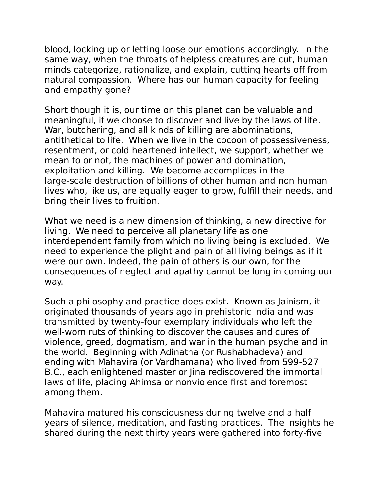blood, locking up or letting loose our emotions accordingly. In the same way, when the throats of helpless creatures are cut, human minds categorize, rationalize, and explain, cutting hearts off from natural compassion. Where has our human capacity for feeling and empathy gone?

Short though it is, our time on this planet can be valuable and meaningful, if we choose to discover and live by the laws of life. War, butchering, and all kinds of killing are abominations, antithetical to life. When we live in the cocoon of possessiveness, resentment, or cold heartened intellect, we support, whether we mean to or not, the machines of power and domination, exploitation and killing. We become accomplices in the large-scale destruction of billions of other human and non human lives who, like us, are equally eager to grow, fulfill their needs, and bring their lives to fruition.

What we need is a new dimension of thinking, a new directive for living. We need to perceive all planetary life as one interdependent family from which no living being is excluded. We need to experience the plight and pain of all living beings as if it were our own. Indeed, the pain of others is our own, for the consequences of neglect and apathy cannot be long in coming our way.

Such a philosophy and practice does exist. Known as Jainism, it originated thousands of years ago in prehistoric India and was transmitted by twenty-four exemplary individuals who left the well-worn ruts of thinking to discover the causes and cures of violence, greed, dogmatism, and war in the human psyche and in the world. Beginning with Adinatha (or Rushabhadeva) and ending with Mahavira (or Vardhamana) who lived from 599-527 B.C., each enlightened master or Jina rediscovered the immortal laws of life, placing Ahimsa or nonviolence first and foremost among them.

Mahavira matured his consciousness during twelve and a half years of silence, meditation, and fasting practices. The insights he shared during the next thirty years were gathered into forty-five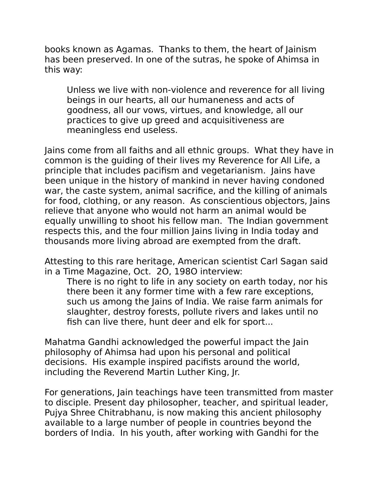books known as Agamas. Thanks to them, the heart of Jainism has been preserved. In one of the sutras, he spoke of Ahimsa in this way:

Unless we live with non-violence and reverence for all living beings in our hearts, all our humaneness and acts of goodness, all our vows, virtues, and knowledge, all our practices to give up greed and acquisitiveness are meaningless end useless.

Jains come from all faiths and all ethnic groups. What they have in common is the guiding of their lives my Reverence for All Life, a principle that includes pacifism and vegetarianism. Jains have been unique in the history of mankind in never having condoned war, the caste system, animal sacrifice, and the killing of animals for food, clothing, or any reason. As conscientious objectors, Jains relieve that anyone who would not harm an animal would be equally unwilling to shoot his fellow man. The Indian government respects this, and the four million Jains living in India today and thousands more living abroad are exempted from the draft.

Attesting to this rare heritage, American scientist Carl Sagan said in a Time Magazine, Oct. 2O, 198O interview:

There is no right to life in any society on earth today, nor his there been it any former time with a few rare exceptions, such us among the Jains of India. We raise farm animals for slaughter, destroy forests, pollute rivers and lakes until no fish can live there, hunt deer and elk for sport...

Mahatma Gandhi acknowledged the powerful impact the Jain philosophy of Ahimsa had upon his personal and political decisions. His example inspired pacifists around the world, including the Reverend Martin Luther King, Jr.

For generations, Jain teachings have teen transmitted from master to disciple. Present day philosopher, teacher, and spiritual leader, Pujya Shree Chitrabhanu, is now making this ancient philosophy available to a large number of people in countries beyond the borders of India. In his youth, after working with Gandhi for the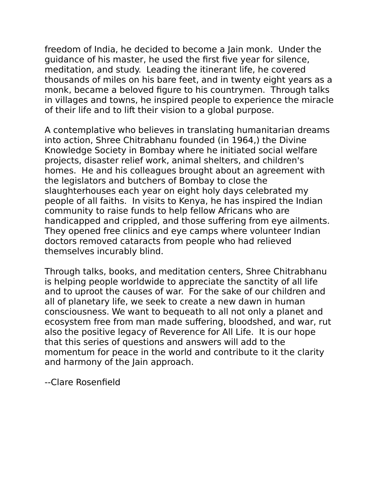freedom of India, he decided to become a Jain monk. Under the guidance of his master, he used the first five year for silence, meditation, and study. Leading the itinerant life, he covered thousands of miles on his bare feet, and in twenty eight years as a monk, became a beloved figure to his countrymen. Through talks in villages and towns, he inspired people to experience the miracle of their life and to lift their vision to a global purpose.

A contemplative who believes in translating humanitarian dreams into action, Shree Chitrabhanu founded (in 1964,) the Divine Knowledge Society in Bombay where he initiated social welfare projects, disaster relief work, animal shelters, and children's homes. He and his colleagues brought about an agreement with the legislators and butchers of Bombay to close the slaughterhouses each year on eight holy days celebrated my people of all faiths. In visits to Kenya, he has inspired the Indian community to raise funds to help fellow Africans who are handicapped and crippled, and those suffering from eye ailments. They opened free clinics and eye camps where volunteer Indian doctors removed cataracts from people who had relieved themselves incurably blind.

Through talks, books, and meditation centers, Shree Chitrabhanu is helping people worldwide to appreciate the sanctity of all life and to uproot the causes of war. For the sake of our children and all of planetary life, we seek to create a new dawn in human consciousness. We want to bequeath to all not only a planet and ecosystem free from man made suffering, bloodshed, and war, rut also the positive legacy of Reverence for All Life. It is our hope that this series of questions and answers will add to the momentum for peace in the world and contribute to it the clarity and harmony of the Jain approach.

--Clare Rosenfield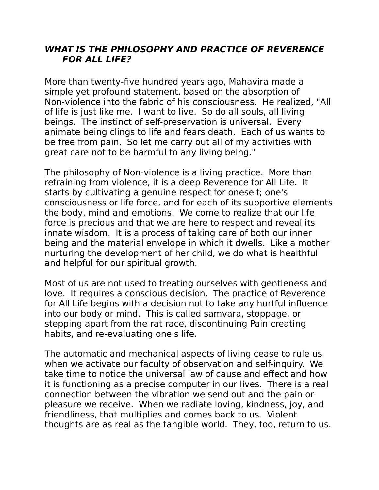#### <span id="page-4-0"></span>**WHAT IS THE PHILOSOPHY AND PRACTICE OF REVERENCE FOR ALL LIFE?**

More than twenty-five hundred years ago, Mahavira made a simple yet profound statement, based on the absorption of Non-violence into the fabric of his consciousness. He realized, "All of life is just like me. I want to live. So do all souls, all living beings. The instinct of self-preservation is universal. Every animate being clings to life and fears death. Each of us wants to be free from pain. So let me carry out all of my activities with great care not to be harmful to any living being."

The philosophy of Non-violence is a living practice. More than refraining from violence, it is a deep Reverence for All Life. It starts by cultivating a genuine respect for oneself; one's consciousness or life force, and for each of its supportive elements the body, mind and emotions. We come to realize that our life force is precious and that we are here to respect and reveal its innate wisdom. It is a process of taking care of both our inner being and the material envelope in which it dwells. Like a mother nurturing the development of her child, we do what is healthful and helpful for our spiritual growth.

Most of us are not used to treating ourselves with gentleness and love. It requires a conscious decision. The practice of Reverence for All Life begins with a decision not to take any hurtful influence into our body or mind. This is called samvara, stoppage, or stepping apart from the rat race, discontinuing Pain creating habits, and re-evaluating one's life.

The automatic and mechanical aspects of living cease to rule us when we activate our faculty of observation and self-inquiry. We take time to notice the universal law of cause and effect and how it is functioning as a precise computer in our lives. There is a real connection between the vibration we send out and the pain or pleasure we receive. When we radiate loving, kindness, joy, and friendliness, that multiplies and comes back to us. Violent thoughts are as real as the tangible world. They, too, return to us.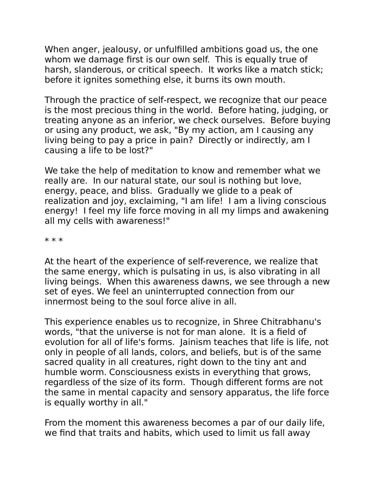When anger, jealousy, or unfulfilled ambitions goad us, the one whom we damage first is our own self. This is equally true of harsh, slanderous, or critical speech. It works like a match stick; before it ignites something else, it burns its own mouth.

Through the practice of self-respect, we recognize that our peace is the most precious thing in the world. Before hating, judging, or treating anyone as an inferior, we check ourselves. Before buying or using any product, we ask, "By my action, am I causing any living being to pay a price in pain? Directly or indirectly, am I causing a life to be lost?"

We take the help of meditation to know and remember what we really are. In our natural state, our soul is nothing but love, energy, peace, and bliss. Gradually we glide to a peak of realization and joy, exclaiming, "I am life! I am a living conscious energy! I feel my life force moving in all my limps and awakening all my cells with awareness!"

\* \* \*

At the heart of the experience of self-reverence, we realize that the same energy, which is pulsating in us, is also vibrating in all living beings. When this awareness dawns, we see through a new set of eyes. We feel an uninterrupted connection from our innermost being to the soul force alive in all.

This experience enables us to recognize, in Shree Chitrabhanu's words, "that the universe is not for man alone. It is a field of evolution for all of life's forms. Jainism teaches that life is life, not only in people of all lands, colors, and beliefs, but is of the same sacred quality in all creatures, right down to the tiny ant and humble worm. Consciousness exists in everything that grows, regardless of the size of its form. Though different forms are not the same in mental capacity and sensory apparatus, the life force is equally worthy in all."

From the moment this awareness becomes a par of our daily life, we find that traits and habits, which used to limit us fall away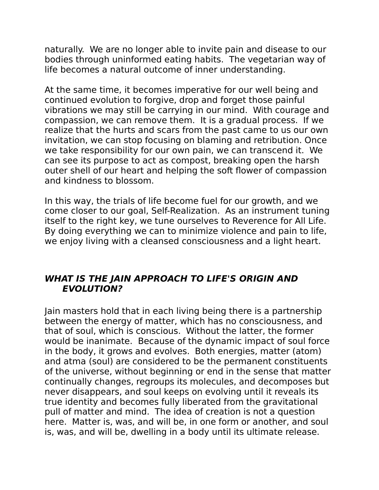naturally. We are no longer able to invite pain and disease to our bodies through uninformed eating habits. The vegetarian way of life becomes a natural outcome of inner understanding.

At the same time, it becomes imperative for our well being and continued evolution to forgive, drop and forget those painful vibrations we may still be carrying in our mind. With courage and compassion, we can remove them. It is a gradual process. If we realize that the hurts and scars from the past came to us our own invitation, we can stop focusing on blaming and retribution. Once we take responsibility for our own pain, we can transcend it. We can see its purpose to act as compost, breaking open the harsh outer shell of our heart and helping the soft flower of compassion and kindness to blossom.

In this way, the trials of life become fuel for our growth, and we come closer to our goal, Self-Realization. As an instrument tuning itself to the right key, we tune ourselves to Reverence for All Life. By doing everything we can to minimize violence and pain to life, we enjoy living with a cleansed consciousness and a light heart.

#### <span id="page-6-0"></span>**WHAT IS THE JAIN APPROACH TO LIFE'S ORIGIN AND EVOLUTION?**

Jain masters hold that in each living being there is a partnership between the energy of matter, which has no consciousness, and that of soul, which is conscious. Without the latter, the former would be inanimate. Because of the dynamic impact of soul force in the body, it grows and evolves. Both energies, matter (atom) and atma (soul) are considered to be the permanent constituents of the universe, without beginning or end in the sense that matter continually changes, regroups its molecules, and decomposes but never disappears, and soul keeps on evolving until it reveals its true identity and becomes fully liberated from the gravitational pull of matter and mind. The idea of creation is not a question here. Matter is, was, and will be, in one form or another, and soul is, was, and will be, dwelling in a body until its ultimate release.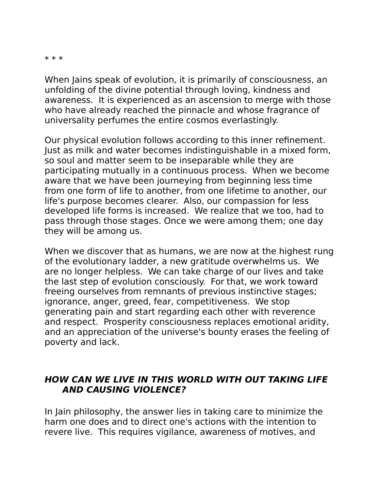\* \* \*

When Jains speak of evolution, it is primarily of consciousness, an unfolding of the divine potential through loving, kindness and awareness. It is experienced as an ascension to merge with those who have already reached the pinnacle and whose fragrance of universality perfumes the entire cosmos everlastingly.

Our physical evolution follows according to this inner refinement. Just as milk and water becomes indistinguishable in a mixed form, so soul and matter seem to be inseparable while they are participating mutually in a continuous process. When we become aware that we have been journeying from beginning less time from one form of life to another, from one lifetime to another, our life's purpose becomes clearer. Also, our compassion for less developed life forms is increased. We realize that we too, had to pass through those stages. Once we were among them; one day they will be among us.

When we discover that as humans, we are now at the highest rung of the evolutionary ladder, a new gratitude overwhelms us. We are no longer helpless. We can take charge of our lives and take the last step of evolution consciously. For that, we work toward freeing ourselves from remnants of previous instinctive stages; ignorance, anger, greed, fear, competitiveness. We stop generating pain and start regarding each other with reverence and respect. Prosperity consciousness replaces emotional aridity, and an appreciation of the universe's bounty erases the feeling of poverty and lack.

#### <span id="page-7-0"></span>**HOW CAN WE LIVE IN THIS WORLD WITH OUT TAKING LIFE AND CAUSING VIOLENCE?**

In Jain philosophy, the answer lies in taking care to minimize the harm one does and to direct one's actions with the intention to revere live. This requires vigilance, awareness of motives, and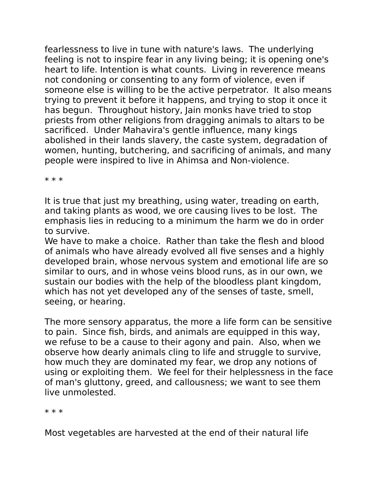fearlessness to live in tune with nature's laws. The underlying feeling is not to inspire fear in any living being; it is opening one's heart to life. Intention is what counts. Living in reverence means not condoning or consenting to any form of violence, even if someone else is willing to be the active perpetrator. It also means trying to prevent it before it happens, and trying to stop it once it has begun. Throughout history, Jain monks have tried to stop priests from other religions from dragging animals to altars to be sacrificed. Under Mahavira's gentle influence, many kings abolished in their lands slavery, the caste system, degradation of women, hunting, butchering, and sacrificing of animals, and many people were inspired to live in Ahimsa and Non-violence.

\* \* \*

It is true that just my breathing, using water, treading on earth, and taking plants as wood, we ore causing lives to be lost. The emphasis lies in reducing to a minimum the harm we do in order to survive.

We have to make a choice. Rather than take the flesh and blood of animals who have already evolved all five senses and a highly developed brain, whose nervous system and emotional life are so similar to ours, and in whose veins blood runs, as in our own, we sustain our bodies with the help of the bloodless plant kingdom, which has not yet developed any of the senses of taste, smell, seeing, or hearing.

The more sensory apparatus, the more a life form can be sensitive to pain. Since fish, birds, and animals are equipped in this way, we refuse to be a cause to their agony and pain. Also, when we observe how dearly animals cling to life and struggle to survive, how much they are dominated my fear, we drop any notions of using or exploiting them. We feel for their helplessness in the face of man's gluttony, greed, and callousness; we want to see them live unmolested.

\* \* \*

Most vegetables are harvested at the end of their natural life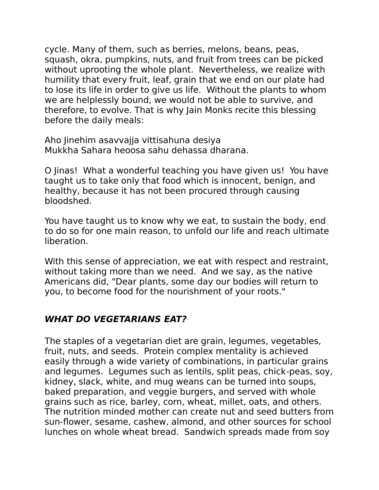cycle. Many of them, such as berries, melons, beans, peas, squash, okra, pumpkins, nuts, and fruit from trees can be picked without uprooting the whole plant. Nevertheless, we realize with humility that every fruit, leaf, grain that we end on our plate had to lose its life in order to give us life. Without the plants to whom we are helplessly bound, we would not be able to survive, and therefore, to evolve. That is why Jain Monks recite this blessing before the daily meals:

Aho Jinehim asavvajja vittisahuna desiya Mukkha Sahara heoosa sahu dehassa dharana.

O Jinas! What a wonderful teaching you have given us! You have taught us to take only that food which is innocent, benign, and healthy, because it has not been procured through causing bloodshed.

You have taught us to know why we eat, to sustain the body, end to do so for one main reason, to unfold our life and reach ultimate liberation.

With this sense of appreciation, we eat with respect and restraint, without taking more than we need. And we say, as the native Americans did, "Dear plants, some day our bodies will return to you, to become food for the nourishment of your roots."

# <span id="page-9-0"></span>**WHAT DO VEGETARIANS EAT?**

The staples of a vegetarian diet are grain, legumes, vegetables, fruit, nuts, and seeds. Protein complex mentality is achieved easily through a wide variety of combinations, in particular grains and legumes. Legumes such as lentils, split peas, chick-peas, soy, kidney, slack, white, and mug weans can be turned into soups, baked preparation, and veggie burgers, and served with whole grains such as rice, barley, corn, wheat, millet, oats, and others. The nutrition minded mother can create nut and seed butters from sun-flower, sesame, cashew, almond, and other sources for school lunches on whole wheat bread. Sandwich spreads made from soy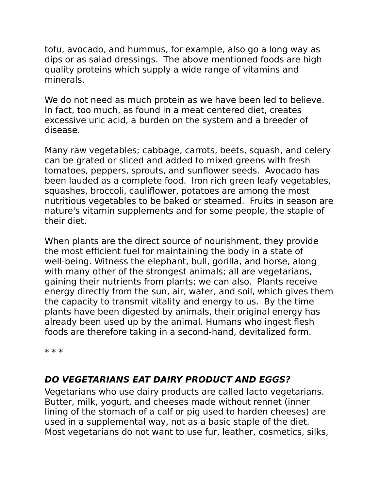tofu, avocado, and hummus, for example, also go a long way as dips or as salad dressings. The above mentioned foods are high quality proteins which supply a wide range of vitamins and minerals.

We do not need as much protein as we have been led to believe. In fact, too much, as found in a meat centered diet, creates excessive uric acid, a burden on the system and a breeder of disease.

Many raw vegetables; cabbage, carrots, beets, squash, and celery can be grated or sliced and added to mixed greens with fresh tomatoes, peppers, sprouts, and sunflower seeds. Avocado has been lauded as a complete food. Iron rich green leafy vegetables, squashes, broccoli, cauliflower, potatoes are among the most nutritious vegetables to be baked or steamed. Fruits in season are nature's vitamin supplements and for some people, the staple of their diet.

When plants are the direct source of nourishment, they provide the most efficient fuel for maintaining the body in a state of well-being. Witness the elephant, bull, gorilla, and horse, along with many other of the strongest animals; all are vegetarians, gaining their nutrients from plants; we can also. Plants receive energy directly from the sun, air, water, and soil, which gives them the capacity to transmit vitality and energy to us. By the time plants have been digested by animals, their original energy has already been used up by the animal. Humans who ingest flesh foods are therefore taking in a second-hand, devitalized form.

\* \* \*

# <span id="page-10-0"></span>**DO VEGETARIANS EAT DAIRY PRODUCT AND EGGS?**

Vegetarians who use dairy products are called lacto vegetarians. Butter, milk, yogurt, and cheeses made without rennet (inner lining of the stomach of a calf or pig used to harden cheeses) are used in a supplemental way, not as a basic staple of the diet. Most vegetarians do not want to use fur, leather, cosmetics, silks,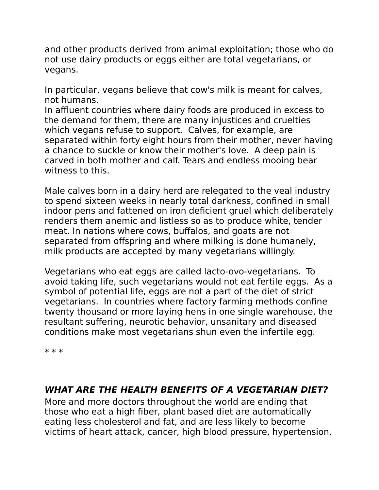and other products derived from animal exploitation; those who do not use dairy products or eggs either are total vegetarians, or vegans.

In particular, vegans believe that cow's milk is meant for calves, not humans.

In affluent countries where dairy foods are produced in excess to the demand for them, there are many injustices and cruelties which vegans refuse to support. Calves, for example, are separated within forty eight hours from their mother, never having a chance to suckle or know their mother's love. A deep pain is carved in both mother and calf. Tears and endless mooing bear witness to this.

Male calves born in a dairy herd are relegated to the veal industry to spend sixteen weeks in nearly total darkness, confined in small indoor pens and fattened on iron deficient gruel which deliberately renders them anemic and listless so as to produce white, tender meat. In nations where cows, buffalos, and goats are not separated from offspring and where milking is done humanely, milk products are accepted by many vegetarians willingly.

Vegetarians who eat eggs are called lacto-ovo-vegetarians. To avoid taking life, such vegetarians would not eat fertile eggs. As a symbol of potential life, eggs are not a part of the diet of strict vegetarians. In countries where factory farming methods confine twenty thousand or more laying hens in one single warehouse, the resultant suffering, neurotic behavior, unsanitary and diseased conditions make most vegetarians shun even the infertile egg.

\* \* \*

# <span id="page-11-0"></span>**WHAT ARE THE HEALTH BENEFITS OF A VEGETARIAN DIET?**

More and more doctors throughout the world are ending that those who eat a high fiber, plant based diet are automatically eating less cholesterol and fat, and are less likely to become victims of heart attack, cancer, high blood pressure, hypertension,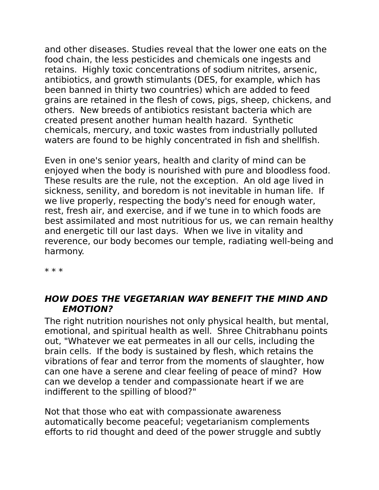and other diseases. Studies reveal that the lower one eats on the food chain, the less pesticides and chemicals one ingests and retains. Highly toxic concentrations of sodium nitrites, arsenic, antibiotics, and growth stimulants (DES, for example, which has been banned in thirty two countries) which are added to feed grains are retained in the flesh of cows, pigs, sheep, chickens, and others. New breeds of antibiotics resistant bacteria which are created present another human health hazard. Synthetic chemicals, mercury, and toxic wastes from industrially polluted waters are found to be highly concentrated in fish and shellfish.

Even in one's senior years, health and clarity of mind can be enjoyed when the body is nourished with pure and bloodless food. These results are the rule, not the exception. An old age lived in sickness, senility, and boredom is not inevitable in human life. If we live properly, respecting the body's need for enough water, rest, fresh air, and exercise, and if we tune in to which foods are best assimilated and most nutritious for us, we can remain healthy and energetic till our last days. When we live in vitality and reverence, our body becomes our temple, radiating well-being and harmony.

\* \* \*

#### <span id="page-12-0"></span>**HOW DOES THE VEGETARIAN WAY BENEFIT THE MIND AND EMOTION?**

The right nutrition nourishes not only physical health, but mental, emotional, and spiritual health as well. Shree Chitrabhanu points out, "Whatever we eat permeates in all our cells, including the brain cells. If the body is sustained by flesh, which retains the vibrations of fear and terror from the moments of slaughter, how can one have a serene and clear feeling of peace of mind? How can we develop a tender and compassionate heart if we are indifferent to the spilling of blood?"

Not that those who eat with compassionate awareness automatically become peaceful; vegetarianism complements efforts to rid thought and deed of the power struggle and subtly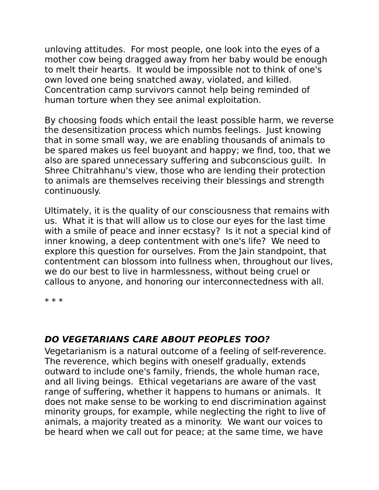unloving attitudes. For most people, one look into the eyes of a mother cow being dragged away from her baby would be enough to melt their hearts. It would be impossible not to think of one's own loved one being snatched away, violated, and killed. Concentration camp survivors cannot help being reminded of human torture when they see animal exploitation.

By choosing foods which entail the least possible harm, we reverse the desensitization process which numbs feelings. Just knowing that in some small way, we are enabling thousands of animals to be spared makes us feel buoyant and happy; we find, too, that we also are spared unnecessary suffering and subconscious guilt. In Shree Chitrahhanu's view, those who are lending their protection to animals are themselves receiving their blessings and strength continuously.

Ultimately, it is the quality of our consciousness that remains with us. What it is that will allow us to close our eyes for the last time with a smile of peace and inner ecstasy? Is it not a special kind of inner knowing, a deep contentment with one's life? We need to explore this question for ourselves. From the Jain standpoint, that contentment can blossom into fullness when, throughout our lives, we do our best to live in harmlessness, without being cruel or callous to anyone, and honoring our interconnectedness with all.

\* \* \*

# <span id="page-13-0"></span>**DO VEGETARIANS CARE ABOUT PEOPLES TOO?**

Vegetarianism is a natural outcome of a feeling of self-reverence. The reverence, which begins with oneself gradually, extends outward to include one's family, friends, the whole human race, and all living beings. Ethical vegetarians are aware of the vast range of suffering, whether it happens to humans or animals. It does not make sense to be working to end discrimination against minority groups, for example, while neglecting the right to live of animals, a majority treated as a minority. We want our voices to be heard when we call out for peace; at the same time, we have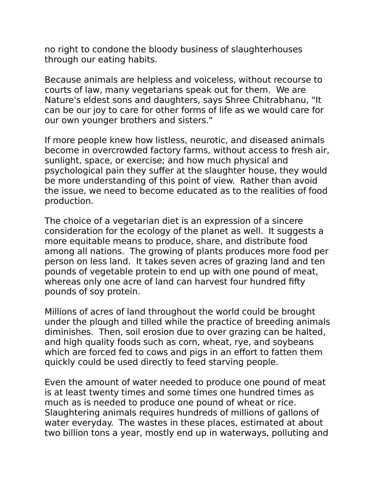no right to condone the bloody business of slaughterhouses through our eating habits.

Because animals are helpless and voiceless, without recourse to courts of law, many vegetarians speak out for them. We are Nature's eldest sons and daughters, says Shree Chitrabhanu, "It can be our joy to care for other forms of life as we would care for our own younger brothers and sisters."

If more people knew how listless, neurotic, and diseased animals become in overcrowded factory farms, without access to fresh air, sunlight, space, or exercise; and how much physical and psychological pain they suffer at the slaughter house, they would be more understanding of this point of view. Rather than avoid the issue, we need to become educated as to the realities of food production.

The choice of a vegetarian diet is an expression of a sincere consideration for the ecology of the planet as well. It suggests a more equitable means to produce, share, and distribute food among all nations. The growing of plants produces more food per person on less land. It takes seven acres of grazing land and ten pounds of vegetable protein to end up with one pound of meat, whereas only one acre of land can harvest four hundred fifty pounds of soy protein.

Millions of acres of land throughout the world could be brought under the plough and tilled while the practice of breeding animals diminishes. Then, soil erosion due to over grazing can be halted, and high quality foods such as corn, wheat, rye, and soybeans which are forced fed to cows and pigs in an effort to fatten them quickly could be used directly to feed starving people.

Even the amount of water needed to produce one pound of meat is at least twenty times and some times one hundred times as much as is needed to produce one pound of wheat or rice. Slaughtering animals requires hundreds of millions of gallons of water everyday. The wastes in these places, estimated at about two billion tons a year, mostly end up in waterways, polluting and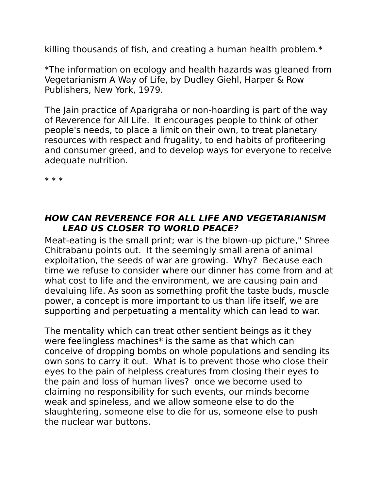killing thousands of fish, and creating a human health problem.\*

\*The information on ecology and health hazards was gleaned from Vegetarianism A Way of Life, by Dudley Giehl, Harper & Row Publishers, New York, 1979.

The Jain practice of Aparigraha or non-hoarding is part of the way of Reverence for All Life. It encourages people to think of other people's needs, to place a limit on their own, to treat planetary resources with respect and frugality, to end habits of profiteering and consumer greed, and to develop ways for everyone to receive adequate nutrition.

\* \* \*

#### <span id="page-15-0"></span>**HOW CAN REVERENCE FOR ALL LIFE AND VEGETARIANISM LEAD US CLOSER TO WORLD PEACE?**

Meat-eating is the small print; war is the blown-up picture," Shree Chitrabanu points out. It the seemingly small arena of animal exploitation, the seeds of war are growing. Why? Because each time we refuse to consider where our dinner has come from and at what cost to life and the environment, we are causing pain and devaluing life. As soon as something profit the taste buds, muscle power, a concept is more important to us than life itself, we are supporting and perpetuating a mentality which can lead to war.

The mentality which can treat other sentient beings as it they were feelingless machines\* is the same as that which can conceive of dropping bombs on whole populations and sending its own sons to carry it out. What is to prevent those who close their eyes to the pain of helpless creatures from closing their eyes to the pain and loss of human lives? once we become used to claiming no responsibility for such events, our minds become weak and spineless, and we allow someone else to do the slaughtering, someone else to die for us, someone else to push the nuclear war buttons.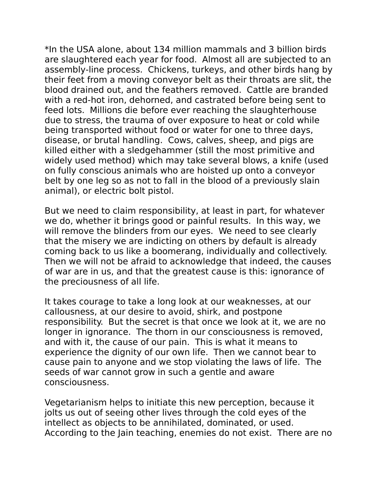\*In the USA alone, about 134 million mammals and 3 billion birds are slaughtered each year for food. Almost all are subjected to an assembly-line process. Chickens, turkeys, and other birds hang by their feet from a moving conveyor belt as their throats are slit, the blood drained out, and the feathers removed. Cattle are branded with a red-hot iron, dehorned, and castrated before being sent to feed lots. Millions die before ever reaching the slaughterhouse due to stress, the trauma of over exposure to heat or cold while being transported without food or water for one to three days, disease, or brutal handling. Cows, calves, sheep, and pigs are killed either with a sledgehammer (still the most primitive and widely used method) which may take several blows, a knife (used on fully conscious animals who are hoisted up onto a conveyor belt by one leg so as not to fall in the blood of a previously slain animal), or electric bolt pistol.

But we need to claim responsibility, at least in part, for whatever we do, whether it brings good or painful results. In this way, we will remove the blinders from our eyes. We need to see clearly that the misery we are indicting on others by default is already coming back to us like a boomerang, individually and collectively. Then we will not be afraid to acknowledge that indeed, the causes of war are in us, and that the greatest cause is this: ignorance of the preciousness of all life.

It takes courage to take a long look at our weaknesses, at our callousness, at our desire to avoid, shirk, and postpone responsibility. But the secret is that once we look at it, we are no longer in ignorance. The thorn in our consciousness is removed, and with it, the cause of our pain. This is what it means to experience the dignity of our own life. Then we cannot bear to cause pain to anyone and we stop violating the laws of life. The seeds of war cannot grow in such a gentle and aware consciousness.

Vegetarianism helps to initiate this new perception, because it jolts us out of seeing other lives through the cold eyes of the intellect as objects to be annihilated, dominated, or used. According to the Jain teaching, enemies do not exist. There are no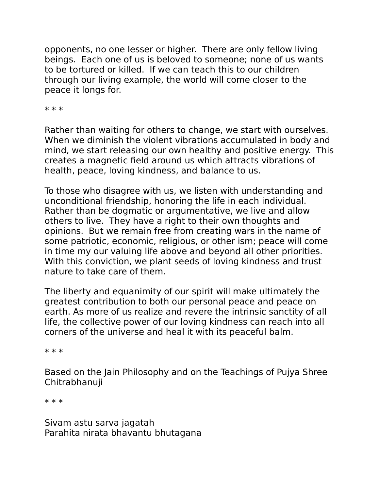opponents, no one lesser or higher. There are only fellow living beings. Each one of us is beloved to someone; none of us wants to be tortured or killed. If we can teach this to our children through our living example, the world will come closer to the peace it longs for.

\* \* \*

Rather than waiting for others to change, we start with ourselves. When we diminish the violent vibrations accumulated in body and mind, we start releasing our own healthy and positive energy. This creates a magnetic field around us which attracts vibrations of health, peace, loving kindness, and balance to us.

To those who disagree with us, we listen with understanding and unconditional friendship, honoring the life in each individual. Rather than be dogmatic or argumentative, we live and allow others to live. They have a right to their own thoughts and opinions. But we remain free from creating wars in the name of some patriotic, economic, religious, or other ism; peace will come in time my our valuing life above and beyond all other priorities. With this conviction, we plant seeds of loving kindness and trust nature to take care of them.

The liberty and equanimity of our spirit will make ultimately the greatest contribution to both our personal peace and peace on earth. As more of us realize and revere the intrinsic sanctity of all life, the collective power of our loving kindness can reach into all corners of the universe and heal it with its peaceful balm.

\* \* \*

Based on the Jain Philosophy and on the Teachings of Pujya Shree Chitrabhanuji

\* \* \*

Sivam astu sarva jagatah Parahita nirata bhavantu bhutagana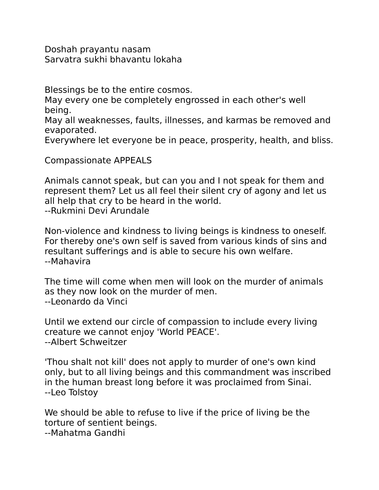Doshah prayantu nasam Sarvatra sukhi bhavantu lokaha

Blessings be to the entire cosmos.

May every one be completely engrossed in each other's well being.

May all weaknesses, faults, illnesses, and karmas be removed and evaporated.

Everywhere let everyone be in peace, prosperity, health, and bliss.

Compassionate APPEALS

Animals cannot speak, but can you and I not speak for them and represent them? Let us all feel their silent cry of agony and let us all help that cry to be heard in the world. --Rukmini Devi Arundale

Non-violence and kindness to living beings is kindness to oneself. For thereby one's own self is saved from various kinds of sins and resultant sufferings and is able to secure his own welfare. --Mahavira

The time will come when men will look on the murder of animals as they now look on the murder of men. --Leonardo da Vinci

Until we extend our circle of compassion to include every living creature we cannot enjoy 'World PEACE'. --Albert Schweitzer

'Thou shalt not kill' does not apply to murder of one's own kind only, but to all living beings and this commandment was inscribed in the human breast long before it was proclaimed from Sinai. --Leo Tolstoy

We should be able to refuse to live if the price of living be the torture of sentient beings.

--Mahatma Gandhi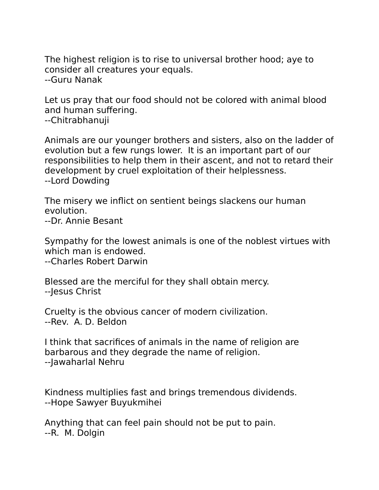The highest religion is to rise to universal brother hood; aye to consider all creatures your equals. --Guru Nanak

Let us pray that our food should not be colored with animal blood and human suffering. --Chitrabhanuji

Animals are our younger brothers and sisters, also on the ladder of evolution but a few rungs lower. It is an important part of our responsibilities to help them in their ascent, and not to retard their development by cruel exploitation of their helplessness. --Lord Dowding

The misery we inflict on sentient beings slackens our human evolution. --Dr. Annie Besant

Sympathy for the lowest animals is one of the noblest virtues with which man is endowed.

--Charles Robert Darwin

Blessed are the merciful for they shall obtain mercy. --Jesus Christ

Cruelty is the obvious cancer of modern civilization. --Rev. A. D. Beldon

I think that sacrifices of animals in the name of religion are barbarous and they degrade the name of religion. --Jawaharlal Nehru

Kindness multiplies fast and brings tremendous dividends. --Hope Sawyer Buyukmihei

Anything that can feel pain should not be put to pain. --R. M. Dolgin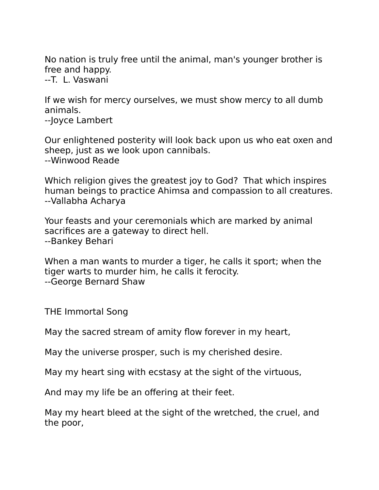No nation is truly free until the animal, man's younger brother is free and happy.

--T. L. Vaswani

If we wish for mercy ourselves, we must show mercy to all dumb animals.

--Joyce Lambert

Our enlightened posterity will look back upon us who eat oxen and sheep, just as we look upon cannibals. --Winwood Reade

Which religion gives the greatest joy to God? That which inspires human beings to practice Ahimsa and compassion to all creatures. --Vallabha Acharya

Your feasts and your ceremonials which are marked by animal sacrifices are a gateway to direct hell. --Bankey Behari

When a man wants to murder a tiger, he calls it sport; when the tiger warts to murder him, he calls it ferocity. --George Bernard Shaw

THE Immortal Song

May the sacred stream of amity flow forever in my heart,

May the universe prosper, such is my cherished desire.

May my heart sing with ecstasy at the sight of the virtuous,

And may my life be an offering at their feet.

May my heart bleed at the sight of the wretched, the cruel, and the poor,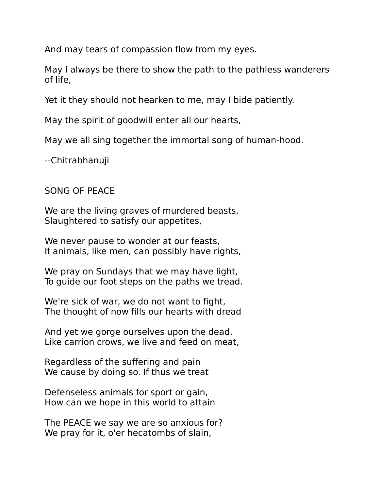And may tears of compassion flow from my eyes.

May I always be there to show the path to the pathless wanderers of life,

Yet it they should not hearken to me, may I bide patiently.

May the spirit of goodwill enter all our hearts,

May we all sing together the immortal song of human-hood.

--Chitrabhanuji

# SONG OF PEACE

We are the living graves of murdered beasts, Slaughtered to satisfy our appetites,

We never pause to wonder at our feasts, If animals, like men, can possibly have rights,

We pray on Sundays that we may have light, To guide our foot steps on the paths we tread.

We're sick of war, we do not want to fight, The thought of now fills our hearts with dread

And yet we gorge ourselves upon the dead. Like carrion crows, we live and feed on meat,

Regardless of the suffering and pain We cause by doing so. If thus we treat

Defenseless animals for sport or gain, How can we hope in this world to attain

The PEACE we say we are so anxious for? We pray for it, o'er hecatombs of slain,